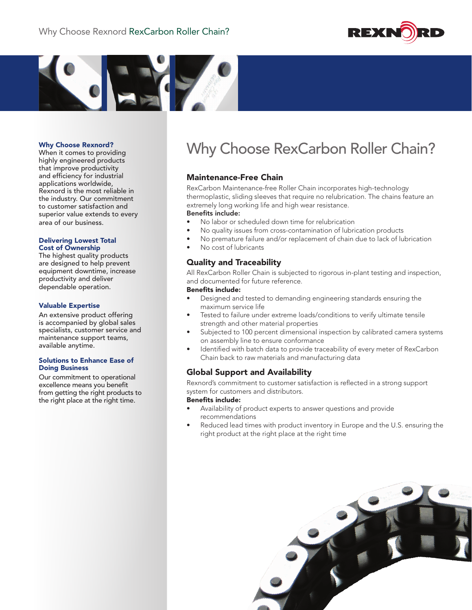



When it comes to providing highly engineered products that improve productivity and efficiency for industrial applications worldwide, Rexnord is the most reliable in the industry. Our commitment to customer satisfaction and superior value extends to every area of our business.

#### Delivering Lowest Total Cost of Ownership

The highest quality products are designed to help prevent equipment downtime, increase productivity and deliver dependable operation.

### Valuable Expertise

An extensive product offering is accompanied by global sales specialists, customer service and maintenance support teams, available anytime.

#### Solutions to Enhance Ease of Doing Business

Our commitment to operational excellence means you benefit from getting the right products to the right place at the right time.

# Why Choose Rexnord?<br>Why Choose RexCarbon Roller Chain?

### Maintenance-Free Chain

RexCarbon Maintenance-free Roller Chain incorporates high-technology thermoplastic, sliding sleeves that require no relubrication. The chains feature an extremely long working life and high wear resistance.

### Benefits include:

- No labor or scheduled down time for relubrication
- No quality issues from cross-contamination of lubrication products
- No premature failure and/or replacement of chain due to lack of lubrication
- No cost of lubricants

## Quality and Traceability

All RexCarbon Roller Chain is subjected to rigorous in-plant testing and inspection, and documented for future reference.

### Benefits include:

- Designed and tested to demanding engineering standards ensuring the maximum service life
- Tested to failure under extreme loads/conditions to verify ultimate tensile strength and other material properties
- Subjected to 100 percent dimensional inspection by calibrated camera systems on assembly line to ensure conformance
- Identified with batch data to provide traceability of every meter of RexCarbon Chain back to raw materials and manufacturing data

### Global Support and Availability

Rexnord's commitment to customer satisfaction is reflected in a strong support system for customers and distributors.

### Benefits include:

- Availability of product experts to answer questions and provide recommendations
- Reduced lead times with product inventory in Europe and the U.S. ensuring the right product at the right place at the right time